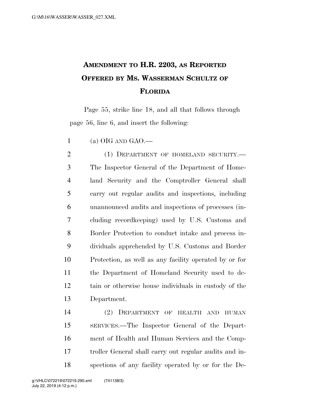## **AMENDMENT TO H.R. 2203, AS REPORTED OFFERED BY MS. WASSERMAN SCHULTZ OF FLORIDA**

Page 55, strike line 18, and all that follows through page 56, line 6, and insert the following:

1 (a) OIG AND GAO.—

2 (1) DEPARTMENT OF HOMELAND SECURITY.— The Inspector General of the Department of Home- land Security and the Comptroller General shall carry out regular audits and inspections, including unannounced audits and inspections of processes (in- cluding recordkeeping) used by U.S. Customs and Border Protection to conduct intake and process in- dividuals apprehended by U.S. Customs and Border Protection, as well as any facility operated by or for the Department of Homeland Security used to de- tain or otherwise house individuals in custody of the Department.

 (2) DEPARTMENT OF HEALTH AND HUMAN SERVICES.—The Inspector General of the Depart- ment of Health and Human Services and the Comp- troller General shall carry out regular audits and in-spections of any facility operated by or for the De